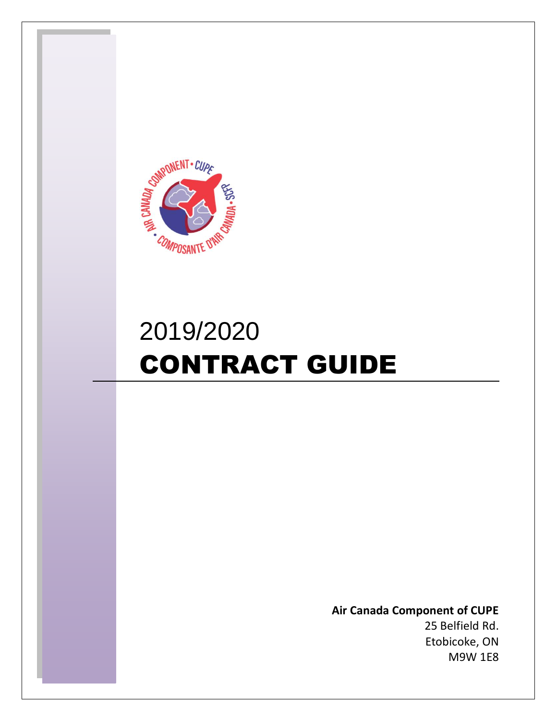

# 2019/2020 CONTRACT GUIDE

**Air Canada Component of CUPE** 25 Belfield Rd. Etobicoke, ON M9W 1E8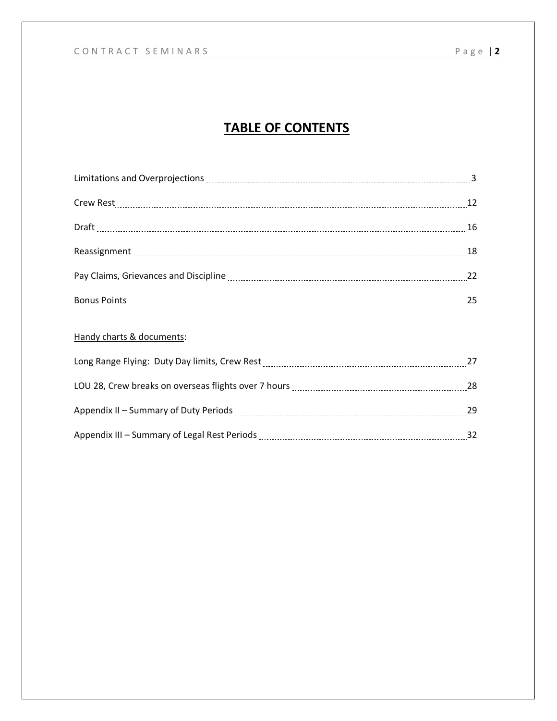## **TABLE OF CONTENTS**

| Crew Rest 12 |    |
|--------------|----|
|              |    |
|              |    |
|              |    |
|              | 25 |

## Handy charts & documents:

| Long Range Flying: Duty Day limits, Crew Rest        | 27 |
|------------------------------------------------------|----|
| LOU 28, Crew breaks on overseas flights over 7 hours | 28 |
| Appendix II – Summary of Duty Periods                | 29 |
| Appendix III - Summary of Legal Rest Periods         | 32 |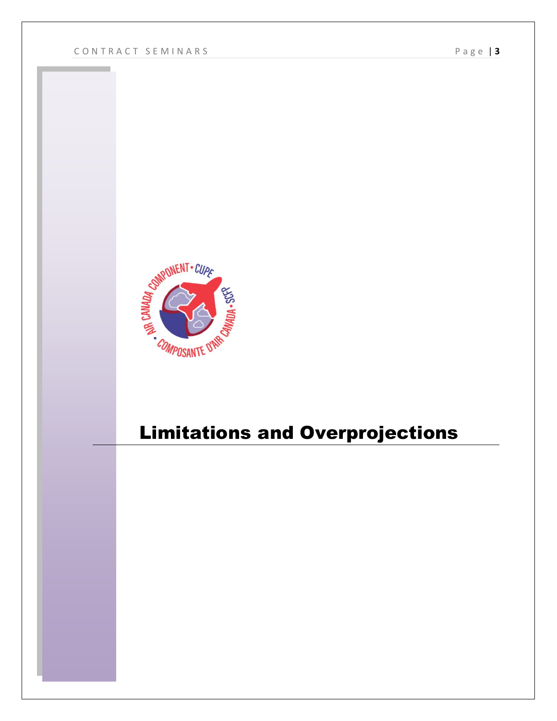

## Limitations and Overprojections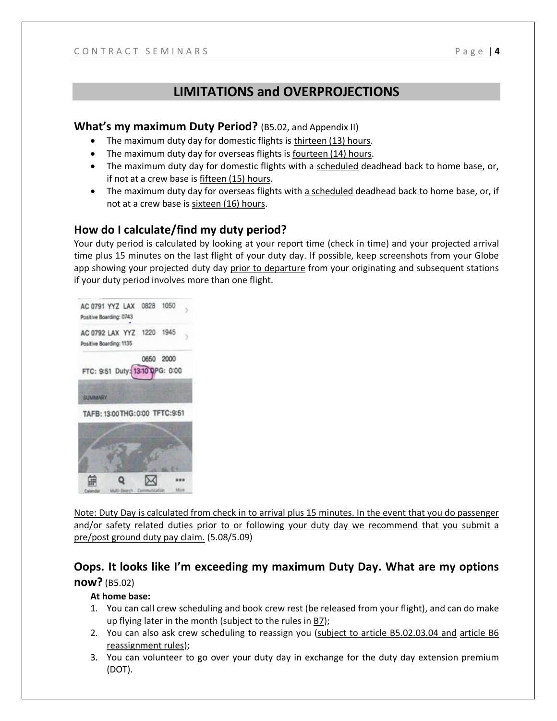## **LIMITATIONS and OVERPROJECTIONS**

#### **What's my maximum Duty Period?** (B5.02, and Appendix II)

- The maximum duty day for domestic flights is thirteen (13) hours.
- The maximum duty day for overseas flights is fourteen (14) hours.
- The maximum duty day for domestic flights with a scheduled deadhead back to home base, or, if not at a crew base is fifteen (15) hours.
- The maximum duty day for overseas flights with a scheduled deadhead back to home base, or, if not at a crew base is sixteen (16) hours.

## **How do I calculate/find my duty period?**

Your duty period is calculated by looking at your report time (check in time) and your projected arrival time plus 15 minutes on the last flight of your duty day. If possible, keep screenshots from your Globe app showing your projected duty day prior to departure from your originating and subsequent stations if your duty period involves more than one flight.



Note: Duty Day is calculated from check in to arrival plus 15 minutes. In the event that you do passenger and/or safety related duties prior to or following your duty day we recommend that you submit a pre/post ground duty pay claim. (5.08/5.09)

## **Oops. It looks like I'm exceeding my maximum Duty Day. What are my options now?** (B5.02)

#### **At home base:**

- 1. You can call crew scheduling and book crew rest (be released from your flight), and can do make up flying later in the month (subject to the rules in  $B7$ );
- 2. You can also ask crew scheduling to reassign you (subject to article B5.02.03.04 and article B6 reassignment rules);
- 3. You can volunteer to go over your duty day in exchange for the duty day extension premium (DOT).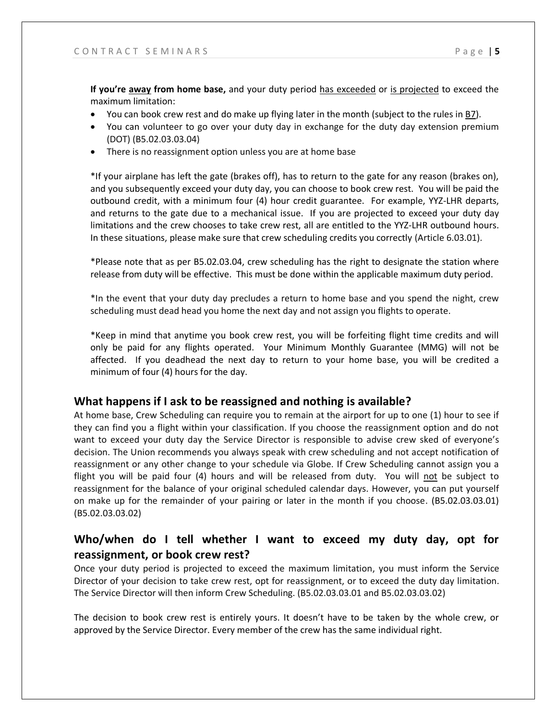**If you're away from home base,** and your duty period has exceeded or is projected to exceed the maximum limitation:

- You can book crew rest and do make up flying later in the month (subject to the rules in B7).
- You can volunteer to go over your duty day in exchange for the duty day extension premium (DOT) (B5.02.03.03.04)
- There is no reassignment option unless you are at home base

\*If your airplane has left the gate (brakes off), has to return to the gate for any reason (brakes on), and you subsequently exceed your duty day, you can choose to book crew rest. You will be paid the outbound credit, with a minimum four (4) hour credit guarantee. For example, YYZ-LHR departs, and returns to the gate due to a mechanical issue. If you are projected to exceed your duty day limitations and the crew chooses to take crew rest, all are entitled to the YYZ-LHR outbound hours. In these situations, please make sure that crew scheduling credits you correctly (Article 6.03.01).

\*Please note that as per B5.02.03.04, crew scheduling has the right to designate the station where release from duty will be effective. This must be done within the applicable maximum duty period.

\*In the event that your duty day precludes a return to home base and you spend the night, crew scheduling must dead head you home the next day and not assign you flights to operate.

\*Keep in mind that anytime you book crew rest, you will be forfeiting flight time credits and will only be paid for any flights operated. Your Minimum Monthly Guarantee (MMG) will not be affected. If you deadhead the next day to return to your home base, you will be credited a minimum of four (4) hours for the day.

## **What happens if I ask to be reassigned and nothing is available?**

At home base, Crew Scheduling can require you to remain at the airport for up to one (1) hour to see if they can find you a flight within your classification. If you choose the reassignment option and do not want to exceed your duty day the Service Director is responsible to advise crew sked of everyone's decision. The Union recommends you always speak with crew scheduling and not accept notification of reassignment or any other change to your schedule via Globe. If Crew Scheduling cannot assign you a flight you will be paid four (4) hours and will be released from duty. You will not be subject to reassignment for the balance of your original scheduled calendar days. However, you can put yourself on make up for the remainder of your pairing or later in the month if you choose. (B5.02.03.03.01) (B5.02.03.03.02)

## **Who/when do I tell whether I want to exceed my duty day, opt for reassignment, or book crew rest?**

Once your duty period is projected to exceed the maximum limitation, you must inform the Service Director of your decision to take crew rest, opt for reassignment, or to exceed the duty day limitation. The Service Director will then inform Crew Scheduling. (B5.02.03.03.01 and B5.02.03.03.02)

The decision to book crew rest is entirely yours. It doesn't have to be taken by the whole crew, or approved by the Service Director. Every member of the crew has the same individual right.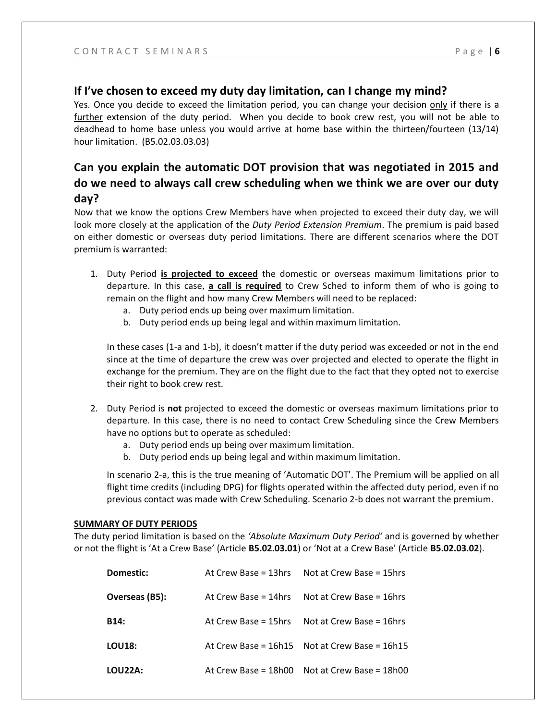#### **If I've chosen to exceed my duty day limitation, can I change my mind?**

Yes. Once you decide to exceed the limitation period, you can change your decision only if there is a further extension of the duty period. When you decide to book crew rest, you will not be able to deadhead to home base unless you would arrive at home base within the thirteen/fourteen (13/14) hour limitation. (B5.02.03.03.03)

## **Can you explain the automatic DOT provision that was negotiated in 2015 and do we need to always call crew scheduling when we think we are over our duty day?**

Now that we know the options Crew Members have when projected to exceed their duty day, we will look more closely at the application of the *Duty Period Extension Premium*. The premium is paid based on either domestic or overseas duty period limitations. There are different scenarios where the DOT premium is warranted:

- 1. Duty Period **is projected to exceed** the domestic or overseas maximum limitations prior to departure. In this case, **a call is required** to Crew Sched to inform them of who is going to remain on the flight and how many Crew Members will need to be replaced:
	- a. Duty period ends up being over maximum limitation.
	- b. Duty period ends up being legal and within maximum limitation.

In these cases (1-a and 1-b), it doesn't matter if the duty period was exceeded or not in the end since at the time of departure the crew was over projected and elected to operate the flight in exchange for the premium. They are on the flight due to the fact that they opted not to exercise their right to book crew rest.

- 2. Duty Period is **not** projected to exceed the domestic or overseas maximum limitations prior to departure. In this case, there is no need to contact Crew Scheduling since the Crew Members have no options but to operate as scheduled:
	- a. Duty period ends up being over maximum limitation.
	- b. Duty period ends up being legal and within maximum limitation.

In scenario 2-a, this is the true meaning of 'Automatic DOT'. The Premium will be applied on all flight time credits (including DPG) for flights operated within the affected duty period, even if no previous contact was made with Crew Scheduling. Scenario 2-b does not warrant the premium.

#### **SUMMARY OF DUTY PERIODS**

The duty period limitation is based on the *'Absolute Maximum Duty Period'* and is governed by whether or not the flight is 'At a Crew Base' (Article **B5.02.03.01**) or 'Not at a Crew Base' (Article **B5.02.03.02**).

| <b>Domestic:</b> | At Crew Base = 13hrs Not at Crew Base = 15hrs     |
|------------------|---------------------------------------------------|
| Overseas (B5):   | At Crew Base = 14hrs Not at Crew Base = 16hrs     |
| B14:             | At Crew Base = 15hrs Not at Crew Base = 16hrs     |
| <b>LOU18:</b>    | At Crew Base = $16h15$ Not at Crew Base = $16h15$ |
| LOU22A:          | At Crew Base = 18h00 Not at Crew Base = 18h00     |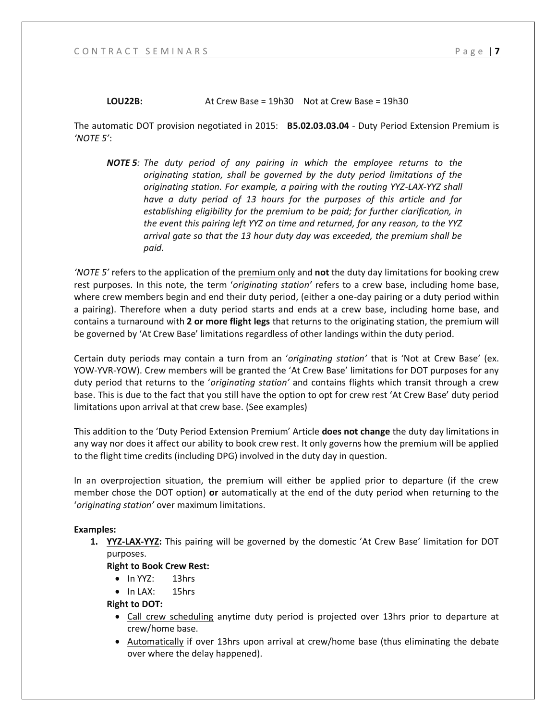#### **LOU22B:** At Crew Base = 19h30 Not at Crew Base = 19h30

The automatic DOT provision negotiated in 2015: **B5.02.03.03.04** - Duty Period Extension Premium is *'NOTE 5'*:

*NOTE 5: The duty period of any pairing in which the employee returns to the originating station, shall be governed by the duty period limitations of the originating station. For example, a pairing with the routing YYZ-LAX-YYZ shall have a duty period of 13 hours for the purposes of this article and for establishing eligibility for the premium to be paid; for further clarification, in the event this pairing left YYZ on time and returned, for any reason, to the YYZ arrival gate so that the 13 hour duty day was exceeded, the premium shall be paid.*

*'NOTE 5'* refers to the application of the premium only and **not** the duty day limitations for booking crew rest purposes. In this note, the term '*originating station'* refers to a crew base, including home base, where crew members begin and end their duty period, (either a one-day pairing or a duty period within a pairing). Therefore when a duty period starts and ends at a crew base, including home base, and contains a turnaround with **2 or more flight legs** that returns to the originating station, the premium will be governed by 'At Crew Base' limitations regardless of other landings within the duty period.

Certain duty periods may contain a turn from an '*originating station'* that is 'Not at Crew Base' (ex. YOW-YVR-YOW). Crew members will be granted the 'At Crew Base' limitations for DOT purposes for any duty period that returns to the '*originating station'* and contains flights which transit through a crew base. This is due to the fact that you still have the option to opt for crew rest 'At Crew Base' duty period limitations upon arrival at that crew base. (See examples)

This addition to the 'Duty Period Extension Premium' Article **does not change** the duty day limitations in any way nor does it affect our ability to book crew rest. It only governs how the premium will be applied to the flight time credits (including DPG) involved in the duty day in question.

In an overprojection situation, the premium will either be applied prior to departure (if the crew member chose the DOT option) **or** automatically at the end of the duty period when returning to the '*originating station'* over maximum limitations.

#### **Examples:**

**1. YYZ-LAX-YYZ:** This pairing will be governed by the domestic 'At Crew Base' limitation for DOT purposes.

#### **Right to Book Crew Rest:**

- In YYZ: 13hrs
- In LAX: 15hrs

#### **Right to DOT:**

- Call crew scheduling anytime duty period is projected over 13hrs prior to departure at crew/home base.
- Automatically if over 13hrs upon arrival at crew/home base (thus eliminating the debate over where the delay happened).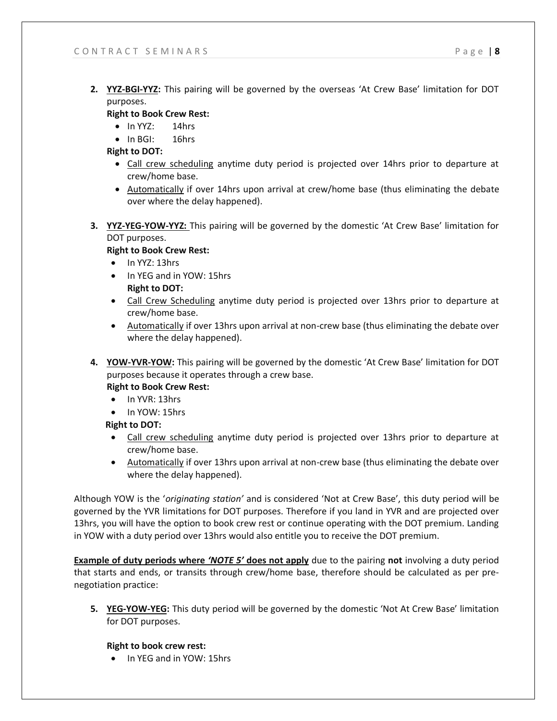**2. YYZ-BGI-YYZ:** This pairing will be governed by the overseas 'At Crew Base' limitation for DOT purposes.

#### **Right to Book Crew Rest:**

- In YYZ: 14hrs
- In BGI: 16hrs

**Right to DOT:**

- Call crew scheduling anytime duty period is projected over 14hrs prior to departure at crew/home base.
- Automatically if over 14hrs upon arrival at crew/home base (thus eliminating the debate over where the delay happened).
- **3. YYZ-YEG-YOW-YYZ:** This pairing will be governed by the domestic 'At Crew Base' limitation for DOT purposes.

#### **Right to Book Crew Rest:**

- In YYZ: 13hrs
- In YEG and in YOW: 15hrs **Right to DOT:**
- Call Crew Scheduling anytime duty period is projected over 13hrs prior to departure at crew/home base.
- Automatically if over 13hrs upon arrival at non-crew base (thus eliminating the debate over where the delay happened).
- **4. YOW-YVR-YOW:** This pairing will be governed by the domestic 'At Crew Base' limitation for DOT purposes because it operates through a crew base.

#### **Right to Book Crew Rest:**

- In YVR: 13hrs
- In YOW: 15hrs

#### **Right to DOT:**

- Call crew scheduling anytime duty period is projected over 13hrs prior to departure at crew/home base.
- Automatically if over 13hrs upon arrival at non-crew base (thus eliminating the debate over where the delay happened).

Although YOW is the '*originating station'* and is considered 'Not at Crew Base', this duty period will be governed by the YVR limitations for DOT purposes. Therefore if you land in YVR and are projected over 13hrs, you will have the option to book crew rest or continue operating with the DOT premium. Landing in YOW with a duty period over 13hrs would also entitle you to receive the DOT premium.

**Example of duty periods where** *'NOTE 5'* **does not apply** due to the pairing **not** involving a duty period that starts and ends, or transits through crew/home base, therefore should be calculated as per prenegotiation practice:

**5. YEG-YOW-YEG:** This duty period will be governed by the domestic 'Not At Crew Base' limitation for DOT purposes.

#### **Right to book crew rest:**

• In YEG and in YOW: 15hrs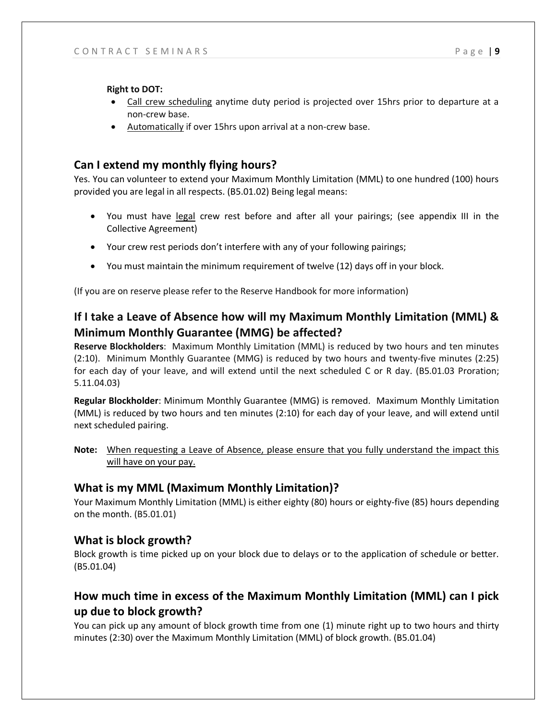**Right to DOT:**

- Call crew scheduling anytime duty period is projected over 15hrs prior to departure at a non-crew base.
- Automatically if over 15hrs upon arrival at a non-crew base.

## **Can I extend my monthly flying hours?**

Yes. You can volunteer to extend your Maximum Monthly Limitation (MML) to one hundred (100) hours provided you are legal in all respects. (B5.01.02) Being legal means:

- You must have legal crew rest before and after all your pairings; (see appendix III in the Collective Agreement)
- Your crew rest periods don't interfere with any of your following pairings;
- You must maintain the minimum requirement of twelve (12) days off in your block.

(If you are on reserve please refer to the Reserve Handbook for more information)

## **If I take a Leave of Absence how will my Maximum Monthly Limitation (MML) & Minimum Monthly Guarantee (MMG) be affected?**

**Reserve Blockholders**: Maximum Monthly Limitation (MML) is reduced by two hours and ten minutes (2:10). Minimum Monthly Guarantee (MMG) is reduced by two hours and twenty-five minutes (2:25) for each day of your leave, and will extend until the next scheduled C or R day. (B5.01.03 Proration; 5.11.04.03)

**Regular Blockholder**: Minimum Monthly Guarantee (MMG) is removed. Maximum Monthly Limitation (MML) is reduced by two hours and ten minutes (2:10) for each day of your leave, and will extend until next scheduled pairing.

**Note:** When requesting a Leave of Absence, please ensure that you fully understand the impact this will have on your pay.

## **What is my MML (Maximum Monthly Limitation)?**

Your Maximum Monthly Limitation (MML) is either eighty (80) hours or eighty-five (85) hours depending on the month. (B5.01.01)

## **What is block growth?**

Block growth is time picked up on your block due to delays or to the application of schedule or better. (B5.01.04)

## **How much time in excess of the Maximum Monthly Limitation (MML) can I pick up due to block growth?**

You can pick up any amount of block growth time from one (1) minute right up to two hours and thirty minutes (2:30) over the Maximum Monthly Limitation (MML) of block growth. (B5.01.04)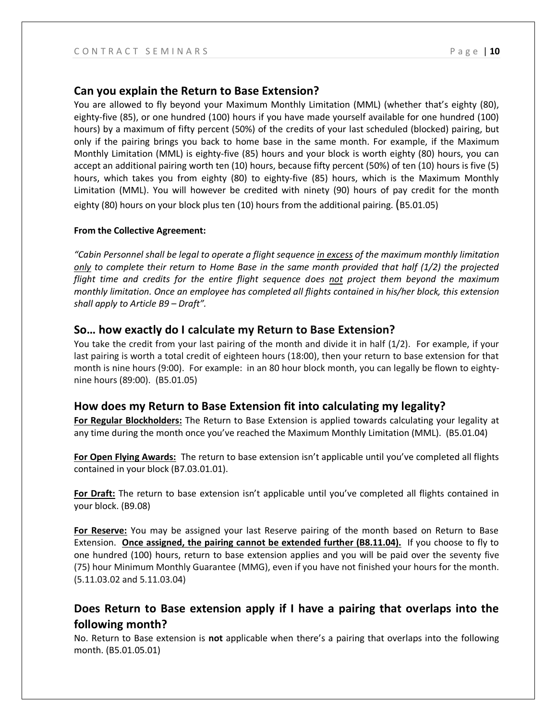#### **Can you explain the Return to Base Extension?**

You are allowed to fly beyond your Maximum Monthly Limitation (MML) (whether that's eighty (80), eighty-five (85), or one hundred (100) hours if you have made yourself available for one hundred (100) hours) by a maximum of fifty percent (50%) of the credits of your last scheduled (blocked) pairing, but only if the pairing brings you back to home base in the same month. For example, if the Maximum Monthly Limitation (MML) is eighty-five (85) hours and your block is worth eighty (80) hours, you can accept an additional pairing worth ten (10) hours, because fifty percent (50%) of ten (10) hours is five (5) hours, which takes you from eighty (80) to eighty-five (85) hours, which is the Maximum Monthly Limitation (MML). You will however be credited with ninety (90) hours of pay credit for the month eighty (80) hours on your block plus ten (10) hours from the additional pairing. (B5.01.05)

#### **From the Collective Agreement:**

*"Cabin Personnel shall be legal to operate a flight sequence in excess of the maximum monthly limitation only to complete their return to Home Base in the same month provided that half (1/2) the projected flight time and credits for the entire flight sequence does not project them beyond the maximum monthly limitation. Once an employee has completed all flights contained in his/her block, this extension shall apply to Article B9 – Draft".*

#### **So… how exactly do I calculate my Return to Base Extension?**

You take the credit from your last pairing of the month and divide it in half (1/2). For example, if your last pairing is worth a total credit of eighteen hours (18:00), then your return to base extension for that month is nine hours (9:00). For example: in an 80 hour block month, you can legally be flown to eightynine hours (89:00). (B5.01.05)

#### **How does my Return to Base Extension fit into calculating my legality?**

**For Regular Blockholders:** The Return to Base Extension is applied towards calculating your legality at any time during the month once you've reached the Maximum Monthly Limitation (MML). (B5.01.04)

**For Open Flying Awards:** The return to base extension isn't applicable until you've completed all flights contained in your block (B7.03.01.01).

**For Draft:** The return to base extension isn't applicable until you've completed all flights contained in your block. (B9.08)

**For Reserve:** You may be assigned your last Reserve pairing of the month based on Return to Base Extension. **Once assigned, the pairing cannot be extended further (B8.11.04).** If you choose to fly to one hundred (100) hours, return to base extension applies and you will be paid over the seventy five (75) hour Minimum Monthly Guarantee (MMG), even if you have not finished your hours for the month. (5.11.03.02 and 5.11.03.04)

## **Does Return to Base extension apply if I have a pairing that overlaps into the following month?**

No. Return to Base extension is **not** applicable when there's a pairing that overlaps into the following month. (B5.01.05.01)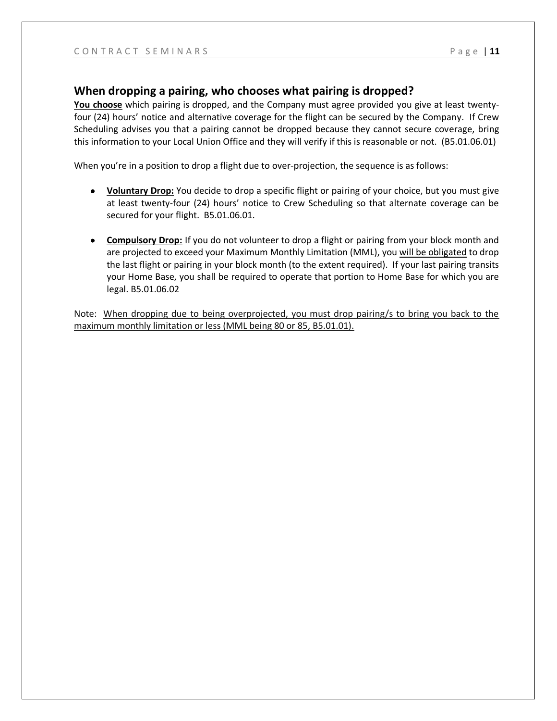#### **When dropping a pairing, who chooses what pairing is dropped?**

**You choose** which pairing is dropped, and the Company must agree provided you give at least twentyfour (24) hours' notice and alternative coverage for the flight can be secured by the Company. If Crew Scheduling advises you that a pairing cannot be dropped because they cannot secure coverage, bring this information to your Local Union Office and they will verify if this is reasonable or not. (B5.01.06.01)

When you're in a position to drop a flight due to over-projection, the sequence is as follows:

- **Voluntary Drop:** You decide to drop a specific flight or pairing of your choice, but you must give at least twenty-four (24) hours' notice to Crew Scheduling so that alternate coverage can be secured for your flight. B5.01.06.01.
- **Compulsory Drop:** If you do not volunteer to drop a flight or pairing from your block month and are projected to exceed your Maximum Monthly Limitation (MML), you will be obligated to drop the last flight or pairing in your block month (to the extent required). If your last pairing transits your Home Base, you shall be required to operate that portion to Home Base for which you are legal. B5.01.06.02

Note: When dropping due to being overprojected, you must drop pairing/s to bring you back to the maximum monthly limitation or less (MML being 80 or 85, B5.01.01).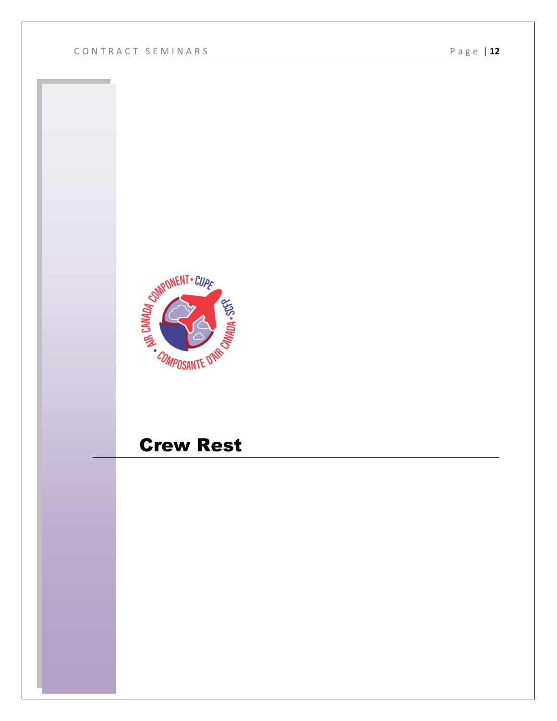

## Crew Rest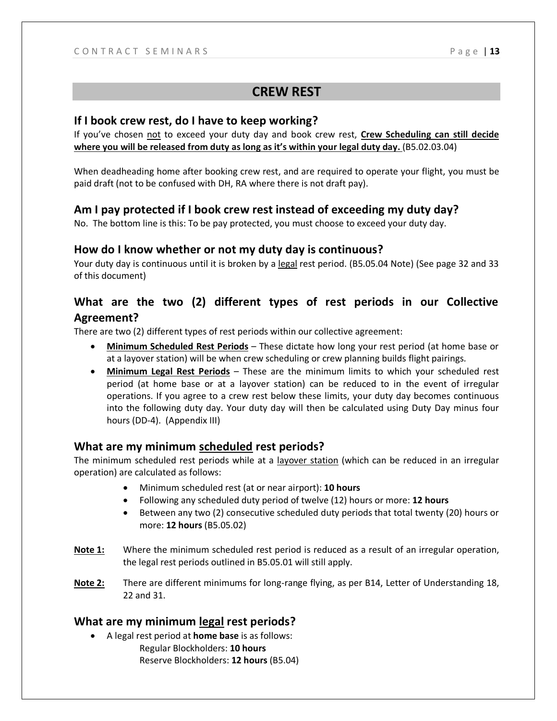#### **CREW REST**

#### **If I book crew rest, do I have to keep working?**

If you've chosen not to exceed your duty day and book crew rest, **Crew Scheduling can still decide where you will be released from duty as long as it's within your legal duty day.** (B5.02.03.04)

When deadheading home after booking crew rest, and are required to operate your flight, you must be paid draft (not to be confused with DH, RA where there is not draft pay).

#### **Am I pay protected if I book crew rest instead of exceeding my duty day?**

No. The bottom line is this: To be pay protected, you must choose to exceed your duty day.

#### **How do I know whether or not my duty day is continuous?**

Your duty day is continuous until it is broken by a legal rest period. (B5.05.04 Note) (See page 32 and 33 of this document)

## **What are the two (2) different types of rest periods in our Collective Agreement?**

There are two (2) different types of rest periods within our collective agreement:

- **Minimum Scheduled Rest Periods** These dictate how long your rest period (at home base or at a layover station) will be when crew scheduling or crew planning builds flight pairings.
- **Minimum Legal Rest Periods** These are the minimum limits to which your scheduled rest period (at home base or at a layover station) can be reduced to in the event of irregular operations. If you agree to a crew rest below these limits, your duty day becomes continuous into the following duty day. Your duty day will then be calculated using Duty Day minus four hours (DD-4). (Appendix III)

#### **What are my minimum scheduled rest periods?**

The minimum scheduled rest periods while at a layover station (which can be reduced in an irregular operation) are calculated as follows:

- Minimum scheduled rest (at or near airport): **10 hours**
- Following any scheduled duty period of twelve (12) hours or more: **12 hours**
- Between any two (2) consecutive scheduled duty periods that total twenty (20) hours or more: **12 hours** (B5.05.02)
- **Note 1:** Where the minimum scheduled rest period is reduced as a result of an irregular operation, the legal rest periods outlined in B5.05.01 will still apply.
- **Note 2:** There are different minimums for long-range flying, as per B14, Letter of Understanding 18, 22 and 31.

#### **What are my minimum legal rest periods?**

• A legal rest period at **home base** is as follows: Regular Blockholders: **10 hours** Reserve Blockholders: **12 hours** (B5.04)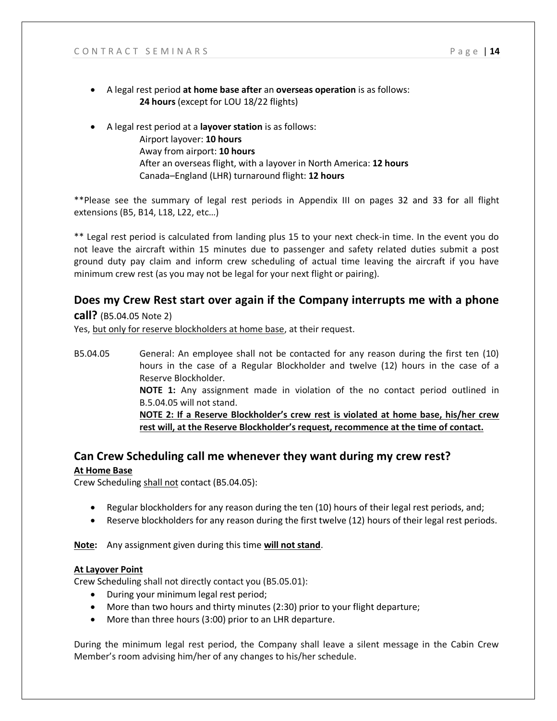- A legal rest period **at home base after** an **overseas operation** is as follows: **24 hours** (except for LOU 18/22 flights)
	- A legal rest period at a **layover station** is as follows: Airport layover: **10 hours** Away from airport: **10 hours** After an overseas flight, with a layover in North America: **12 hours** Canada–England (LHR) turnaround flight: **12 hours**

\*\*Please see the summary of legal rest periods in Appendix III on pages 32 and 33 for all flight extensions (B5, B14, L18, L22, etc…)

\*\* Legal rest period is calculated from landing plus 15 to your next check-in time. In the event you do not leave the aircraft within 15 minutes due to passenger and safety related duties submit a post ground duty pay claim and inform crew scheduling of actual time leaving the aircraft if you have minimum crew rest (as you may not be legal for your next flight or pairing).

## **Does my Crew Rest start over again if the Company interrupts me with a phone**

**call?** (B5.04.05 Note 2)

Yes, but only for reserve blockholders at home base, at their request.

B5.04.05 General: An employee shall not be contacted for any reason during the first ten (10) hours in the case of a Regular Blockholder and twelve (12) hours in the case of a Reserve Blockholder. **NOTE 1:** Any assignment made in violation of the no contact period outlined in B.5.04.05 will not stand. **NOTE 2: If a Reserve Blockholder's crew rest is violated at home base, his/her crew rest will, at the Reserve Blockholder's request, recommence at the time of contact.**

#### **Can Crew Scheduling call me whenever they want during my crew rest? At Home Base**

Crew Scheduling shall not contact (B5.04.05):

- Regular blockholders for any reason during the ten (10) hours of their legal rest periods, and;
- Reserve blockholders for any reason during the first twelve (12) hours of their legal rest periods.

**Note:** Any assignment given during this time **will not stand**.

#### **At Layover Point**

Crew Scheduling shall not directly contact you (B5.05.01):

- During your minimum legal rest period;
- More than two hours and thirty minutes (2:30) prior to your flight departure;
- More than three hours (3:00) prior to an LHR departure.

During the minimum legal rest period, the Company shall leave a silent message in the Cabin Crew Member's room advising him/her of any changes to his/her schedule.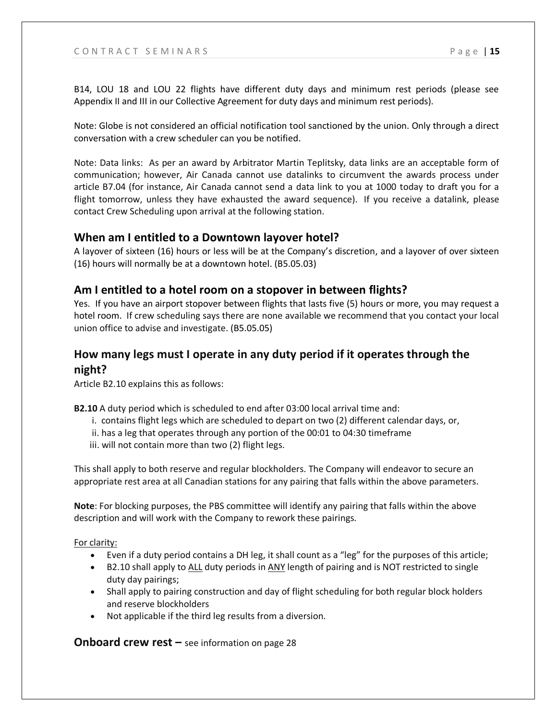B14, LOU 18 and LOU 22 flights have different duty days and minimum rest periods (please see Appendix II and III in our Collective Agreement for duty days and minimum rest periods).

Note: Globe is not considered an official notification tool sanctioned by the union. Only through a direct conversation with a crew scheduler can you be notified.

Note: Data links: As per an award by Arbitrator Martin Teplitsky, data links are an acceptable form of communication; however, Air Canada cannot use datalinks to circumvent the awards process under article B7.04 (for instance, Air Canada cannot send a data link to you at 1000 today to draft you for a flight tomorrow, unless they have exhausted the award sequence). If you receive a datalink, please contact Crew Scheduling upon arrival at the following station.

#### **When am I entitled to a Downtown layover hotel?**

A layover of sixteen (16) hours or less will be at the Company's discretion, and a layover of over sixteen (16) hours will normally be at a downtown hotel. (B5.05.03)

#### **Am I entitled to a hotel room on a stopover in between flights?**

Yes. If you have an airport stopover between flights that lasts five (5) hours or more, you may request a hotel room. If crew scheduling says there are none available we recommend that you contact your local union office to advise and investigate. (B5.05.05)

## **How many legs must I operate in any duty period if it operates through the night?**

Article B2.10 explains this as follows:

**B2.10** A duty period which is scheduled to end after 03:00 local arrival time and:

- i. contains flight legs which are scheduled to depart on two (2) different calendar days, or,
- ii. has a leg that operates through any portion of the 00:01 to 04:30 timeframe
- iii. will not contain more than two (2) flight legs.

This shall apply to both reserve and regular blockholders. The Company will endeavor to secure an appropriate rest area at all Canadian stations for any pairing that falls within the above parameters.

**Note**: For blocking purposes, the PBS committee will identify any pairing that falls within the above description and will work with the Company to rework these pairings.

#### For clarity:

- Even if a duty period contains a DH leg, it shall count as a "leg" for the purposes of this article;
- B2.10 shall apply to ALL duty periods in ANY length of pairing and is NOT restricted to single duty day pairings;
- Shall apply to pairing construction and day of flight scheduling for both regular block holders and reserve blockholders
- Not applicable if the third leg results from a diversion.

**Onboard crew rest –** see information on page 28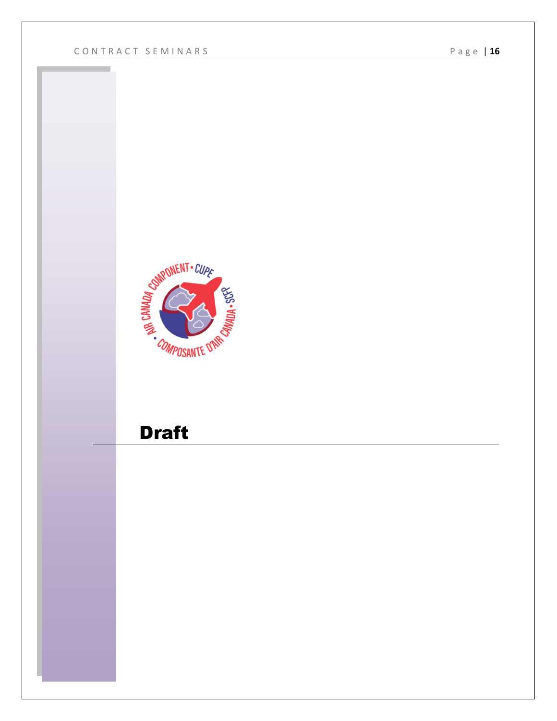

## **Draft**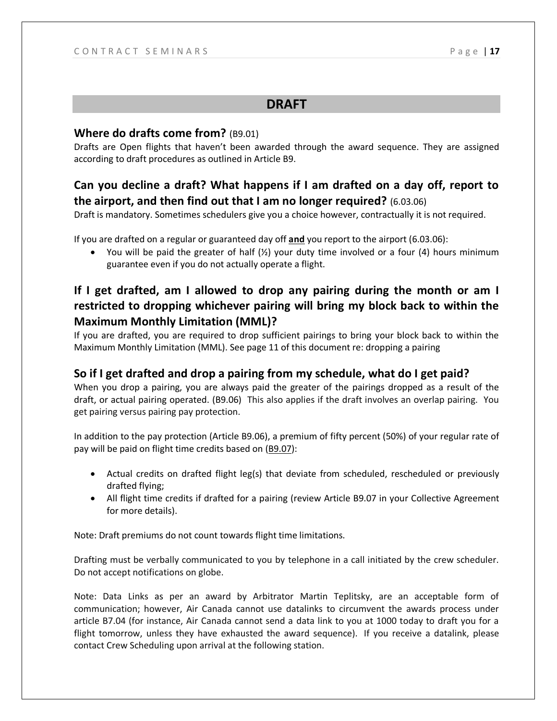## **DRAFT**

#### **Where do drafts come from?** (B9.01)

Drafts are Open flights that haven't been awarded through the award sequence. They are assigned according to draft procedures as outlined in Article B9.

## **Can you decline a draft? What happens if I am drafted on a day off, report to the airport, and then find out that I am no longer required?** (6.03.06)

Draft is mandatory. Sometimes schedulers give you a choice however, contractually it is not required.

If you are drafted on a regular or guaranteed day off **and** you report to the airport (6.03.06):

• You will be paid the greater of half  $(\frac{1}{2})$  your duty time involved or a four (4) hours minimum guarantee even if you do not actually operate a flight.

## **If I get drafted, am I allowed to drop any pairing during the month or am I restricted to dropping whichever pairing will bring my block back to within the Maximum Monthly Limitation (MML)?**

If you are drafted, you are required to drop sufficient pairings to bring your block back to within the Maximum Monthly Limitation (MML). See page 11 of this document re: dropping a pairing

## **So if I get drafted and drop a pairing from my schedule, what do I get paid?**

When you drop a pairing, you are always paid the greater of the pairings dropped as a result of the draft, or actual pairing operated. (B9.06) This also applies if the draft involves an overlap pairing. You get pairing versus pairing pay protection.

In addition to the pay protection (Article B9.06), a premium of fifty percent (50%) of your regular rate of pay will be paid on flight time credits based on (B9.07):

- Actual credits on drafted flight leg(s) that deviate from scheduled, rescheduled or previously drafted flying;
- All flight time credits if drafted for a pairing (review Article B9.07 in your Collective Agreement for more details).

Note: Draft premiums do not count towards flight time limitations.

Drafting must be verbally communicated to you by telephone in a call initiated by the crew scheduler. Do not accept notifications on globe.

Note: Data Links as per an award by Arbitrator Martin Teplitsky, are an acceptable form of communication; however, Air Canada cannot use datalinks to circumvent the awards process under article B7.04 (for instance, Air Canada cannot send a data link to you at 1000 today to draft you for a flight tomorrow, unless they have exhausted the award sequence). If you receive a datalink, please contact Crew Scheduling upon arrival at the following station.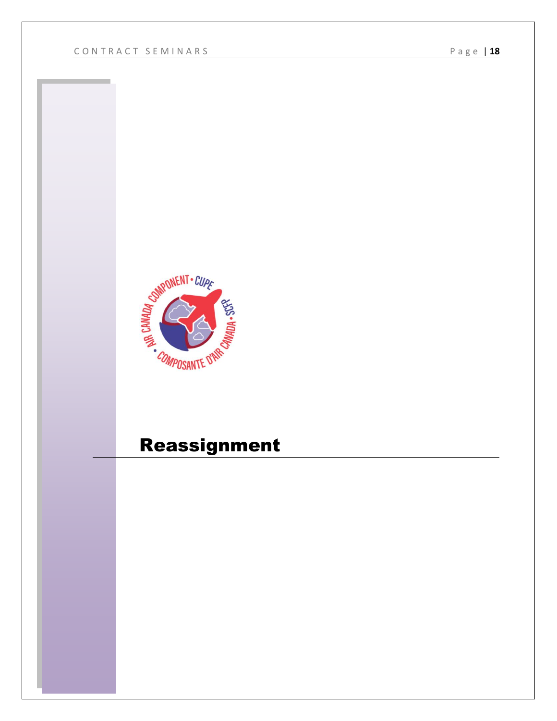

## Reassignment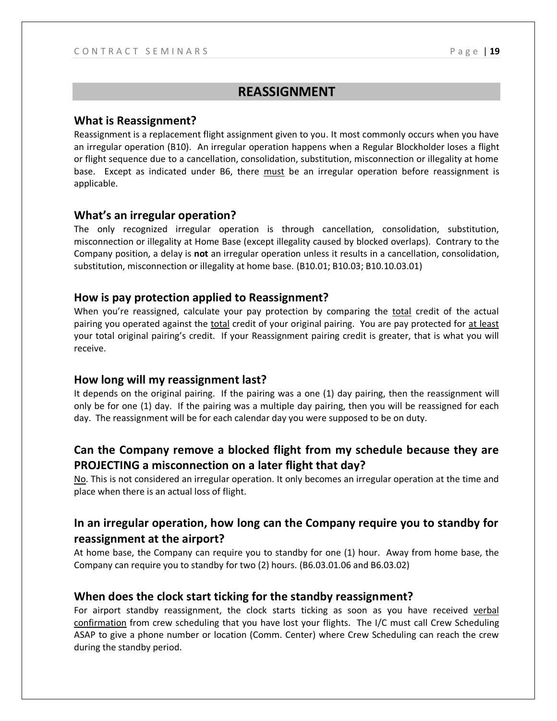#### **REASSIGNMENT**

#### **What is Reassignment?**

Reassignment is a replacement flight assignment given to you. It most commonly occurs when you have an irregular operation (B10). An irregular operation happens when a Regular Blockholder loses a flight or flight sequence due to a cancellation, consolidation, substitution, misconnection or illegality at home base. Except as indicated under B6, there must be an irregular operation before reassignment is applicable.

#### **What's an irregular operation?**

The only recognized irregular operation is through cancellation, consolidation, substitution, misconnection or illegality at Home Base (except illegality caused by blocked overlaps). Contrary to the Company position, a delay is **not** an irregular operation unless it results in a cancellation, consolidation, substitution, misconnection or illegality at home base. (B10.01; B10.03; B10.10.03.01)

#### **How is pay protection applied to Reassignment?**

When you're reassigned, calculate your pay protection by comparing the total credit of the actual pairing you operated against the total credit of your original pairing. You are pay protected for at least your total original pairing's credit. If your Reassignment pairing credit is greater, that is what you will receive.

#### **How long will my reassignment last?**

It depends on the original pairing. If the pairing was a one (1) day pairing, then the reassignment will only be for one (1) day. If the pairing was a multiple day pairing, then you will be reassigned for each day. The reassignment will be for each calendar day you were supposed to be on duty.

## **Can the Company remove a blocked flight from my schedule because they are PROJECTING a misconnection on a later flight that day?**

No. This is not considered an irregular operation. It only becomes an irregular operation at the time and place when there is an actual loss of flight.

## **In an irregular operation, how long can the Company require you to standby for reassignment at the airport?**

At home base, the Company can require you to standby for one (1) hour. Away from home base, the Company can require you to standby for two (2) hours. (B6.03.01.06 and B6.03.02)

#### **When does the clock start ticking for the standby reassignment?**

For airport standby reassignment, the clock starts ticking as soon as you have received verbal confirmation from crew scheduling that you have lost your flights. The I/C must call Crew Scheduling ASAP to give a phone number or location (Comm. Center) where Crew Scheduling can reach the crew during the standby period.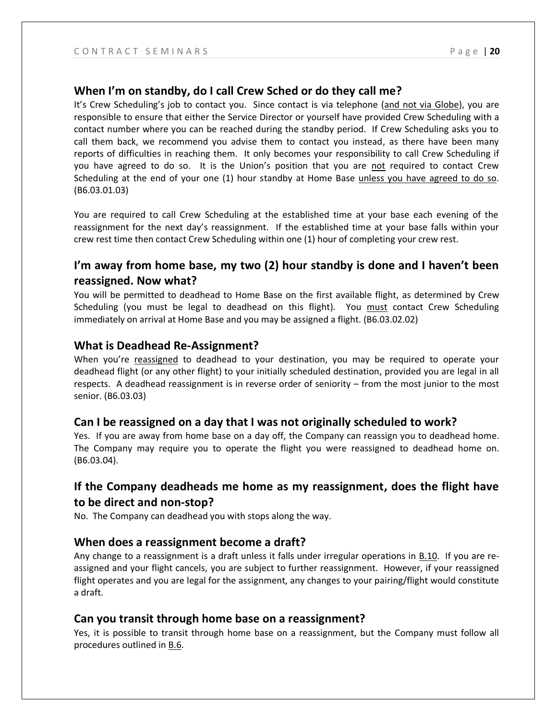## **When I'm on standby, do I call Crew Sched or do they call me?**

It's Crew Scheduling's job to contact you. Since contact is via telephone (and not via Globe), you are responsible to ensure that either the Service Director or yourself have provided Crew Scheduling with a contact number where you can be reached during the standby period. If Crew Scheduling asks you to call them back, we recommend you advise them to contact you instead, as there have been many reports of difficulties in reaching them. It only becomes your responsibility to call Crew Scheduling if you have agreed to do so. It is the Union's position that you are not required to contact Crew Scheduling at the end of your one (1) hour standby at Home Base unless you have agreed to do so. (B6.03.01.03)

You are required to call Crew Scheduling at the established time at your base each evening of the reassignment for the next day's reassignment. If the established time at your base falls within your crew rest time then contact Crew Scheduling within one (1) hour of completing your crew rest.

## **I'm away from home base, my two (2) hour standby is done and I haven't been reassigned. Now what?**

You will be permitted to deadhead to Home Base on the first available flight, as determined by Crew Scheduling (you must be legal to deadhead on this flight). You must contact Crew Scheduling immediately on arrival at Home Base and you may be assigned a flight. (B6.03.02.02)

## **What is Deadhead Re-Assignment?**

When you're reassigned to deadhead to your destination, you may be required to operate your deadhead flight (or any other flight) to your initially scheduled destination, provided you are legal in all respects. A deadhead reassignment is in reverse order of seniority – from the most junior to the most senior. (B6.03.03)

## **Can I be reassigned on a day that I was not originally scheduled to work?**

Yes. If you are away from home base on a day off, the Company can reassign you to deadhead home. The Company may require you to operate the flight you were reassigned to deadhead home on. (B6.03.04).

## **If the Company deadheads me home as my reassignment, does the flight have to be direct and non-stop?**

No. The Company can deadhead you with stops along the way.

## **When does a reassignment become a draft?**

Any change to a reassignment is a draft unless it falls under irregular operations in B.10. If you are reassigned and your flight cancels, you are subject to further reassignment. However, if your reassigned flight operates and you are legal for the assignment, any changes to your pairing/flight would constitute a draft.

## **Can you transit through home base on a reassignment?**

Yes, it is possible to transit through home base on a reassignment, but the Company must follow all procedures outlined in B.6.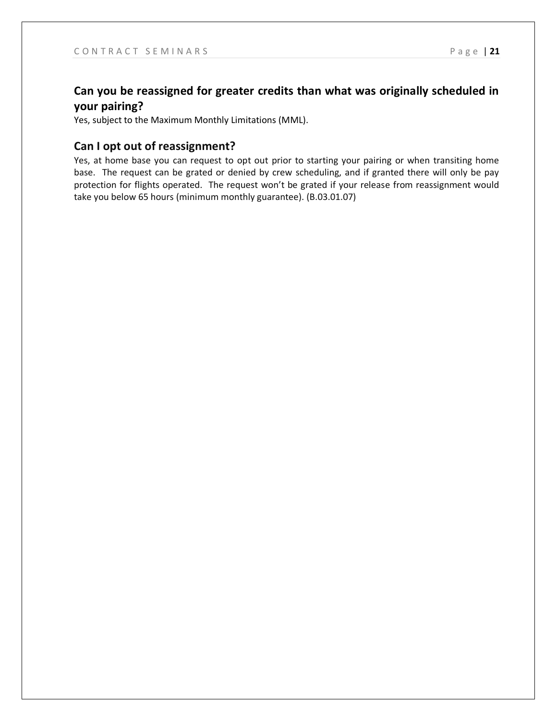## **Can you be reassigned for greater credits than what was originally scheduled in your pairing?**

Yes, subject to the Maximum Monthly Limitations (MML).

#### **Can I opt out of reassignment?**

Yes, at home base you can request to opt out prior to starting your pairing or when transiting home base. The request can be grated or denied by crew scheduling, and if granted there will only be pay protection for flights operated. The request won't be grated if your release from reassignment would take you below 65 hours (minimum monthly guarantee). (B.03.01.07)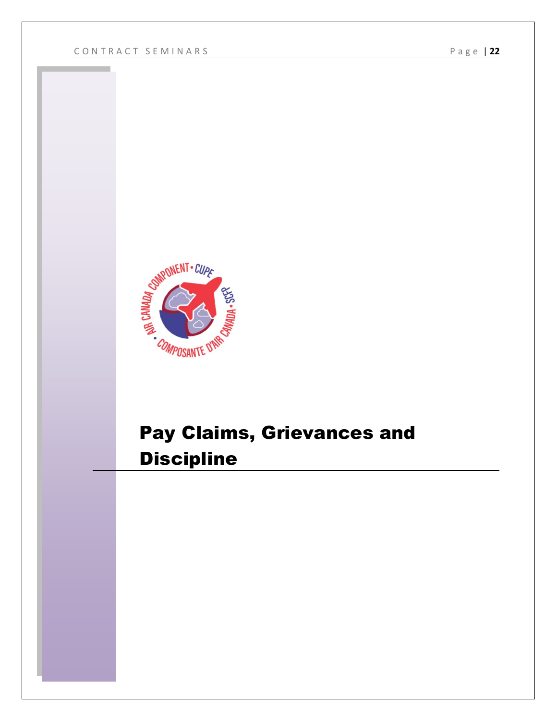

## Pay Claims, Grievances and **Discipline**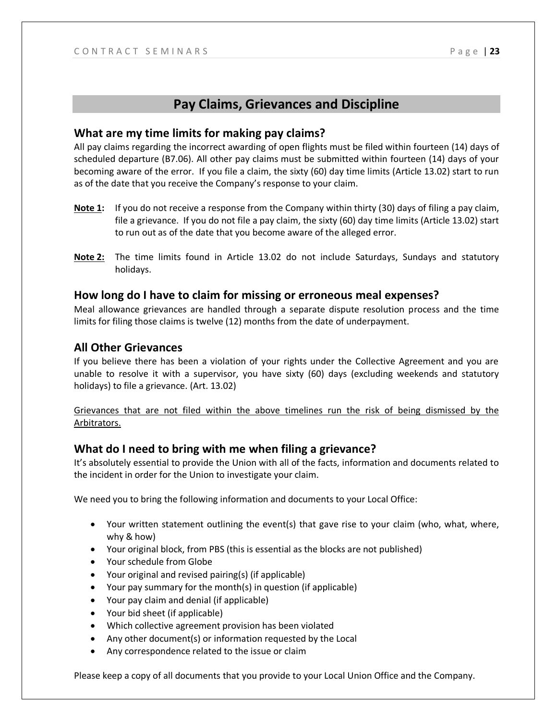## **Pay Claims, Grievances and Discipline**

#### **What are my time limits for making pay claims?**

All pay claims regarding the incorrect awarding of open flights must be filed within fourteen (14) days of scheduled departure (B7.06). All other pay claims must be submitted within fourteen (14) days of your becoming aware of the error. If you file a claim, the sixty (60) day time limits (Article 13.02) start to run as of the date that you receive the Company's response to your claim.

- **Note 1:** If you do not receive a response from the Company within thirty (30) days of filing a pay claim, file a grievance. If you do not file a pay claim, the sixty (60) day time limits (Article 13.02) start to run out as of the date that you become aware of the alleged error.
- **Note 2:** The time limits found in Article 13.02 do not include Saturdays, Sundays and statutory holidays.

#### **How long do I have to claim for missing or erroneous meal expenses?**

Meal allowance grievances are handled through a separate dispute resolution process and the time limits for filing those claims is twelve (12) months from the date of underpayment.

#### **All Other Grievances**

If you believe there has been a violation of your rights under the Collective Agreement and you are unable to resolve it with a supervisor, you have sixty (60) days (excluding weekends and statutory holidays) to file a grievance. (Art. 13.02)

Grievances that are not filed within the above timelines run the risk of being dismissed by the Arbitrators.

#### **What do I need to bring with me when filing a grievance?**

It's absolutely essential to provide the Union with all of the facts, information and documents related to the incident in order for the Union to investigate your claim.

We need you to bring the following information and documents to your Local Office:

- Your written statement outlining the event(s) that gave rise to your claim (who, what, where, why & how)
- Your original block, from PBS (this is essential as the blocks are not published)
- Your schedule from Globe
- Your original and revised pairing(s) (if applicable)
- Your pay summary for the month(s) in question (if applicable)
- Your pay claim and denial (if applicable)
- Your bid sheet (if applicable)
- Which collective agreement provision has been violated
- Any other document(s) or information requested by the Local
- Any correspondence related to the issue or claim

Please keep a copy of all documents that you provide to your Local Union Office and the Company.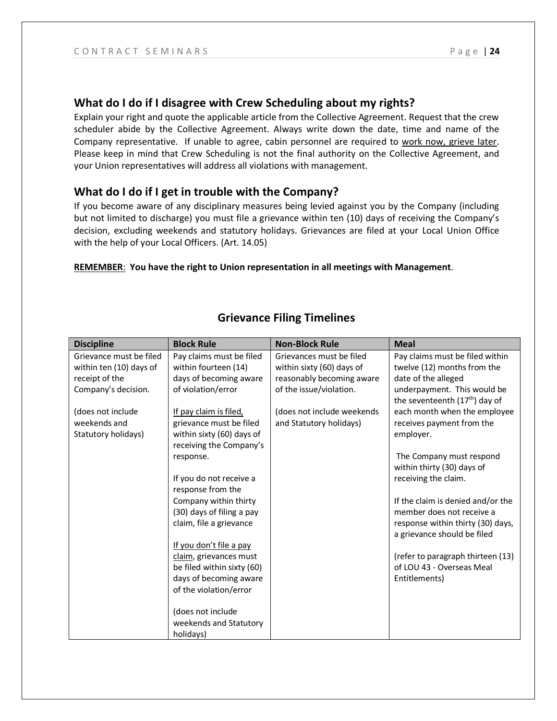#### **What do I do if I disagree with Crew Scheduling about my rights?**

Explain your right and quote the applicable article from the Collective Agreement. Request that the crew scheduler abide by the Collective Agreement. Always write down the date, time and name of the Company representative. If unable to agree, cabin personnel are required to work now, grieve later. Please keep in mind that Crew Scheduling is not the final authority on the Collective Agreement, and your Union representatives will address all violations with management.

#### **What do I do if I get in trouble with the Company?**

If you become aware of any disciplinary measures being levied against you by the Company (including but not limited to discharge) you must file a grievance within ten (10) days of receiving the Company's decision, excluding weekends and statutory holidays. Grievances are filed at your Local Union Office with the help of your Local Officers. (Art. 14.05)

#### **REMEMBER**: **You have the right to Union representation in all meetings with Management**.

| <b>Discipline</b>       | <b>Block Rule</b>          | <b>Non-Block Rule</b>      | <b>Meal</b>                                                               |
|-------------------------|----------------------------|----------------------------|---------------------------------------------------------------------------|
| Grievance must be filed | Pay claims must be filed   | Grievances must be filed   | Pay claims must be filed within                                           |
| within ten (10) days of | within fourteen (14)       | within sixty (60) days of  | twelve (12) months from the                                               |
| receipt of the          | days of becoming aware     | reasonably becoming aware  | date of the alleged                                                       |
| Company's decision.     | of violation/error         | of the issue/violation.    | underpayment. This would be<br>the seventeenth (17 <sup>th</sup> ) day of |
| (does not include       | If pay claim is filed,     | (does not include weekends | each month when the employee                                              |
| weekends and            | grievance must be filed    | and Statutory holidays)    | receives payment from the                                                 |
| Statutory holidays)     | within sixty (60) days of  |                            | employer.                                                                 |
|                         | receiving the Company's    |                            |                                                                           |
|                         | response.                  |                            | The Company must respond<br>within thirty (30) days of                    |
|                         | If you do not receive a    |                            | receiving the claim.                                                      |
|                         | response from the          |                            |                                                                           |
|                         | Company within thirty      |                            | If the claim is denied and/or the                                         |
|                         | (30) days of filing a pay  |                            | member does not receive a                                                 |
|                         | claim, file a grievance    |                            | response within thirty (30) days,<br>a grievance should be filed          |
|                         | If you don't file a pay    |                            |                                                                           |
|                         | claim, grievances must     |                            | (refer to paragraph thirteen (13)                                         |
|                         | be filed within sixty (60) |                            | of LOU 43 - Overseas Meal                                                 |
|                         | days of becoming aware     |                            | Entitlements)                                                             |
|                         | of the violation/error     |                            |                                                                           |
|                         | (does not include          |                            |                                                                           |
|                         | weekends and Statutory     |                            |                                                                           |
|                         | holidays)                  |                            |                                                                           |

## **Grievance Filing Timelines**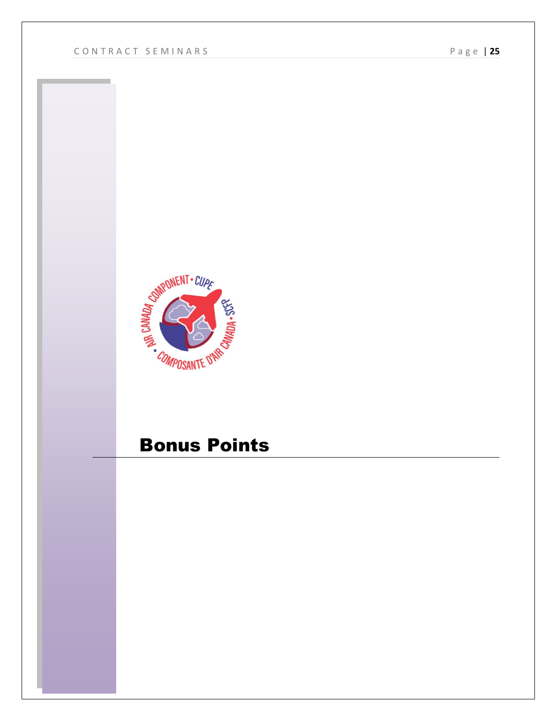

## Bonus Points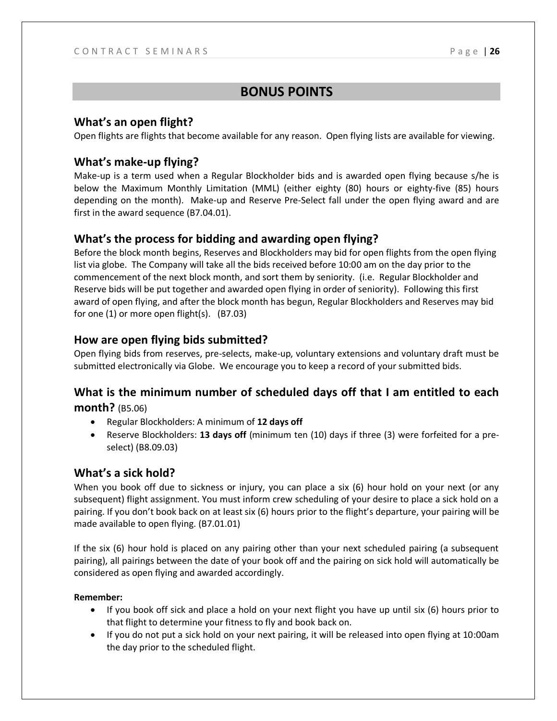## **BONUS POINTS**

## **What's an open flight?**

Open flights are flights that become available for any reason. Open flying lists are available for viewing.

## **What's make-up flying?**

Make-up is a term used when a Regular Blockholder bids and is awarded open flying because s/he is below the Maximum Monthly Limitation (MML) (either eighty (80) hours or eighty-five (85) hours depending on the month). Make-up and Reserve Pre-Select fall under the open flying award and are first in the award sequence (B7.04.01).

## **What's the process for bidding and awarding open flying?**

Before the block month begins, Reserves and Blockholders may bid for open flights from the open flying list via globe. The Company will take all the bids received before 10:00 am on the day prior to the commencement of the next block month, and sort them by seniority. (i.e. Regular Blockholder and Reserve bids will be put together and awarded open flying in order of seniority). Following this first award of open flying, and after the block month has begun, Regular Blockholders and Reserves may bid for one (1) or more open flight(s). (B7.03)

## **How are open flying bids submitted?**

Open flying bids from reserves, pre-selects, make-up, voluntary extensions and voluntary draft must be submitted electronically via Globe. We encourage you to keep a record of your submitted bids.

## **What is the minimum number of scheduled days off that I am entitled to each month?** (B5.06)

- Regular Blockholders: A minimum of **12 days off**
- Reserve Blockholders: **13 days off** (minimum ten (10) days if three (3) were forfeited for a preselect) (B8.09.03)

## **What's a sick hold?**

When you book off due to sickness or injury, you can place a six (6) hour hold on your next (or any subsequent) flight assignment. You must inform crew scheduling of your desire to place a sick hold on a pairing. If you don't book back on at least six (6) hours prior to the flight's departure, your pairing will be made available to open flying. (B7.01.01)

If the six (6) hour hold is placed on any pairing other than your next scheduled pairing (a subsequent pairing), all pairings between the date of your book off and the pairing on sick hold will automatically be considered as open flying and awarded accordingly.

#### **Remember:**

- If you book off sick and place a hold on your next flight you have up until six (6) hours prior to that flight to determine your fitness to fly and book back on.
- If you do not put a sick hold on your next pairing, it will be released into open flying at 10:00am the day prior to the scheduled flight.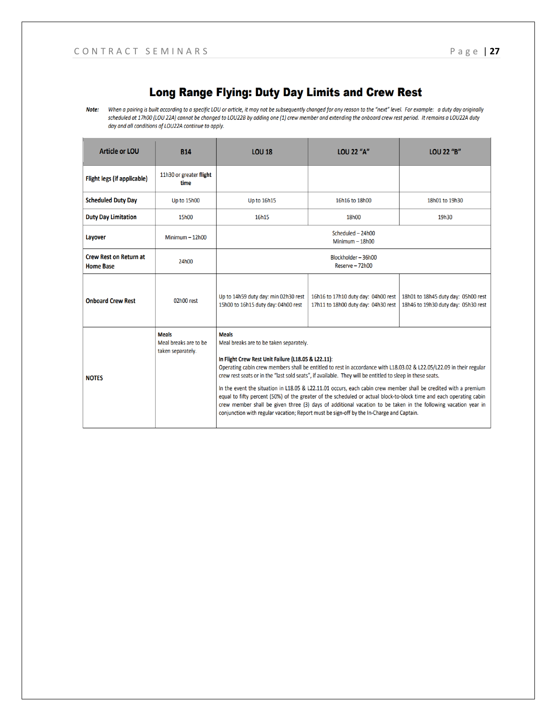## Long Range Flying: Duty Day Limits and Crew Rest

Note: When a pairing is built according to a specific LOU or article, it may not be subsequently changed for any reason to the "next" level. For example: a duty day originally scheduled at 17h00 (LOU 22A) cannot be changed to LOU22B by adding one (1) crew member and extending the onboard crew rest period. It remains a LOU22A duty day and all conditions of LOU22A continue to apply.

| <b>Article or LOU</b>                             | <b>B14</b>                                                 | <b>LOU 18</b>                                                                                                                                                                                                                                                                                                                                                                                                                                                                                                                                                                                                                                                                                                                                                                                                | <b>LOU 22 "A"</b>                                                          | <b>LOU 22 "B"</b>                                                          |
|---------------------------------------------------|------------------------------------------------------------|--------------------------------------------------------------------------------------------------------------------------------------------------------------------------------------------------------------------------------------------------------------------------------------------------------------------------------------------------------------------------------------------------------------------------------------------------------------------------------------------------------------------------------------------------------------------------------------------------------------------------------------------------------------------------------------------------------------------------------------------------------------------------------------------------------------|----------------------------------------------------------------------------|----------------------------------------------------------------------------|
| Flight legs (if applicable)                       | 11h30 or greater flight<br>time                            |                                                                                                                                                                                                                                                                                                                                                                                                                                                                                                                                                                                                                                                                                                                                                                                                              |                                                                            |                                                                            |
| <b>Scheduled Duty Day</b>                         | Up to 15h00                                                | <b>Up to 16h15</b>                                                                                                                                                                                                                                                                                                                                                                                                                                                                                                                                                                                                                                                                                                                                                                                           | 16h16 to 18h00                                                             | 18h01 to 19h30                                                             |
| <b>Duty Day Limitation</b>                        | 15h00                                                      | 16h15                                                                                                                                                                                                                                                                                                                                                                                                                                                                                                                                                                                                                                                                                                                                                                                                        | 18h00                                                                      | 19h30                                                                      |
| Layover                                           | Minimum $- 12h00$                                          | Scheduled - 24h00<br>Minimum $-18h00$                                                                                                                                                                                                                                                                                                                                                                                                                                                                                                                                                                                                                                                                                                                                                                        |                                                                            |                                                                            |
| <b>Crew Rest on Return at</b><br><b>Home Base</b> | 24h00                                                      | Blockholder-36h00<br>Reserve - 72h00                                                                                                                                                                                                                                                                                                                                                                                                                                                                                                                                                                                                                                                                                                                                                                         |                                                                            |                                                                            |
| <b>Onboard Crew Rest</b>                          | 02h00 rest                                                 | Up to 14h59 duty day: min 02h30 rest<br>15h00 to 16h15 duty day: 04h00 rest                                                                                                                                                                                                                                                                                                                                                                                                                                                                                                                                                                                                                                                                                                                                  | 16h16 to 17h10 duty day: 04h00 rest<br>17h11 to 18h00 duty day: 04h30 rest | 18h01 to 18h45 duty day: 05h00 rest<br>18h46 to 19h30 duty day: 05h30 rest |
| <b>NOTES</b>                                      | <b>Meals</b><br>Meal breaks are to be<br>taken separately. | <b>Meals</b><br>Meal breaks are to be taken separately.<br>In Flight Crew Rest Unit Failure (L18.05 & L22.11):<br>Operating cabin crew members shall be entitled to rest in accordance with L18.03.02 & L22.05/L22.09 in their regular<br>crew rest seats or in the "last sold seats", if available. They will be entitled to sleep in these seats.<br>In the event the situation in L18.05 & L22.11.01 occurs, each cabin crew member shall be credited with a premium<br>equal to fifty percent (50%) of the greater of the scheduled or actual block-to-block time and each operating cabin<br>crew member shall be given three (3) days of additional vacation to be taken in the following vacation year in<br>conjunction with regular vacation; Report must be sign-off by the In-Charge and Captain. |                                                                            |                                                                            |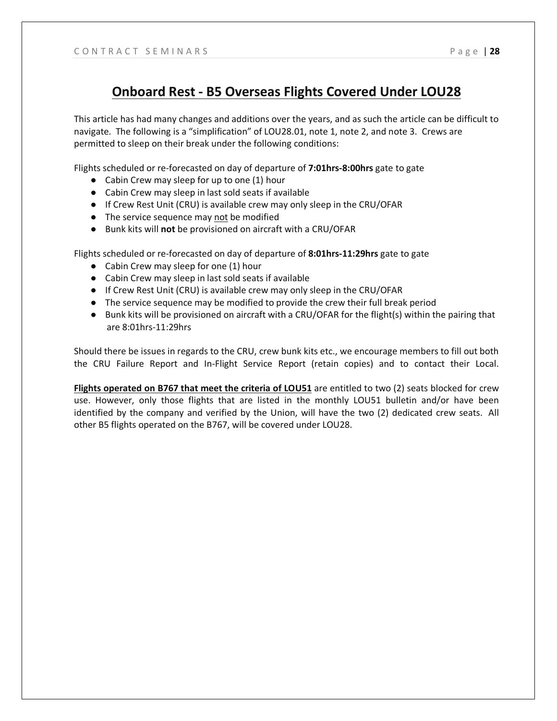## **Onboard Rest - B5 Overseas Flights Covered Under LOU28**

This article has had many changes and additions over the years, and as such the article can be difficult to navigate. The following is a "simplification" of LOU28.01, note 1, note 2, and note 3. Crews are permitted to sleep on their break under the following conditions:

Flights scheduled or re-forecasted on day of departure of **7:01hrs-8:00hrs** gate to gate

- Cabin Crew may sleep for up to one (1) hour
- Cabin Crew may sleep in last sold seats if available
- If Crew Rest Unit (CRU) is available crew may only sleep in the CRU/OFAR
- The service sequence may not be modified
- Bunk kits will **not** be provisioned on aircraft with a CRU/OFAR

Flights scheduled or re-forecasted on day of departure of **8:01hrs-11:29hrs** gate to gate

- Cabin Crew may sleep for one (1) hour
- Cabin Crew may sleep in last sold seats if available
- If Crew Rest Unit (CRU) is available crew may only sleep in the CRU/OFAR
- The service sequence may be modified to provide the crew their full break period
- Bunk kits will be provisioned on aircraft with a CRU/OFAR for the flight(s) within the pairing that are 8:01hrs-11:29hrs

Should there be issues in regards to the CRU, crew bunk kits etc., we encourage members to fill out both the CRU Failure Report and In-Flight Service Report (retain copies) and to contact their Local.

**Flights operated on B767 that meet the criteria of LOU51** are entitled to two (2) seats blocked for crew use. However, only those flights that are listed in the monthly LOU51 bulletin and/or have been identified by the company and verified by the Union, will have the two (2) dedicated crew seats. All other B5 flights operated on the B767, will be covered under LOU28.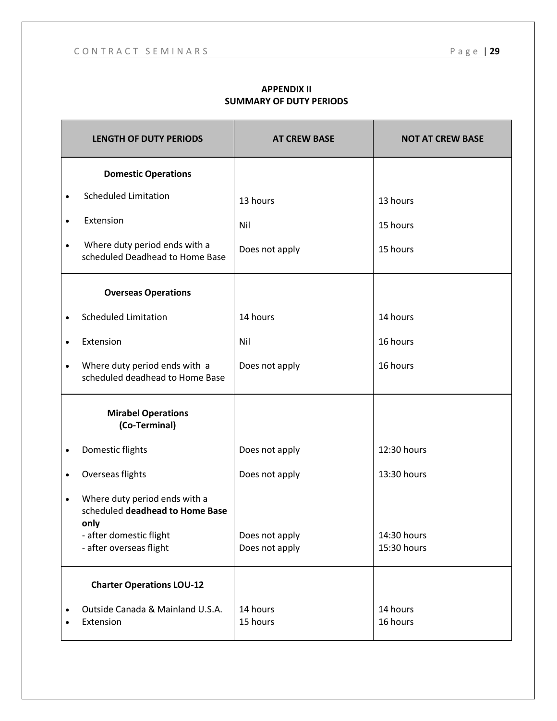| <b>LENGTH OF DUTY PERIODS</b>                                                         | <b>AT CREW BASE</b>              | <b>NOT AT CREW BASE</b>    |
|---------------------------------------------------------------------------------------|----------------------------------|----------------------------|
| <b>Domestic Operations</b>                                                            |                                  |                            |
| <b>Scheduled Limitation</b><br>$\bullet$                                              | 13 hours                         | 13 hours                   |
| Extension<br>$\bullet$                                                                | Nil                              | 15 hours                   |
| Where duty period ends with a<br>$\bullet$<br>scheduled Deadhead to Home Base         | Does not apply                   | 15 hours                   |
| <b>Overseas Operations</b>                                                            |                                  |                            |
| <b>Scheduled Limitation</b><br>$\bullet$                                              | 14 hours                         | 14 hours                   |
| Extension<br>$\bullet$                                                                | Nil                              | 16 hours                   |
| Where duty period ends with a<br>$\bullet$<br>scheduled deadhead to Home Base         | Does not apply                   | 16 hours                   |
| <b>Mirabel Operations</b><br>(Co-Terminal)                                            |                                  |                            |
| Domestic flights<br>$\bullet$                                                         | Does not apply                   | 12:30 hours                |
| Overseas flights<br>$\bullet$                                                         | Does not apply                   | 13:30 hours                |
| Where duty period ends with a<br>$\bullet$<br>scheduled deadhead to Home Base<br>only |                                  |                            |
| - after domestic flight<br>- after overseas flight                                    | Does not apply<br>Does not apply | 14:30 hours<br>15:30 hours |
| <b>Charter Operations LOU-12</b>                                                      |                                  |                            |
| Outside Canada & Mainland U.S.A.<br>$\bullet$<br>Extension<br>$\bullet$               | 14 hours<br>15 hours             | 14 hours<br>16 hours       |

#### **APPENDIX II SUMMARY OF DUTY PERIODS**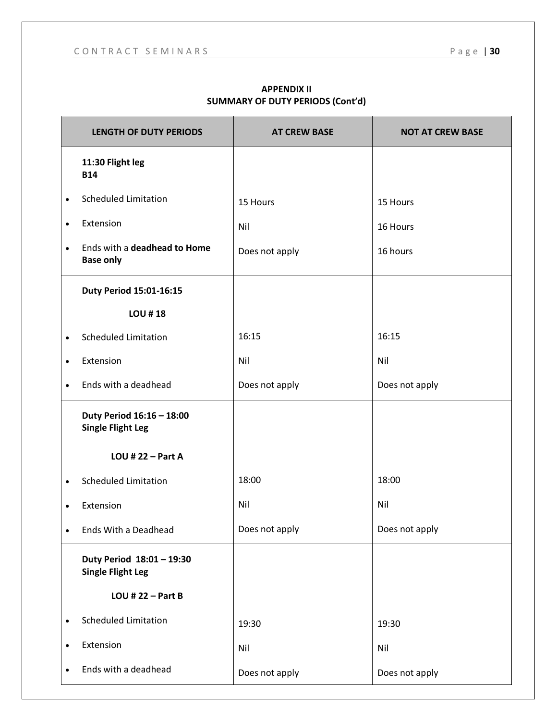|           | <b>LENGTH OF DUTY PERIODS</b>                         | <b>AT CREW BASE</b> | <b>NOT AT CREW BASE</b> |
|-----------|-------------------------------------------------------|---------------------|-------------------------|
|           | 11:30 Flight leg<br><b>B14</b>                        |                     |                         |
| $\bullet$ | <b>Scheduled Limitation</b>                           | 15 Hours            | 15 Hours                |
| $\bullet$ | Extension                                             | Nil                 | 16 Hours                |
| $\bullet$ | Ends with a deadhead to Home<br><b>Base only</b>      | Does not apply      | 16 hours                |
|           | Duty Period 15:01-16:15                               |                     |                         |
|           | <b>LOU #18</b>                                        |                     |                         |
| $\bullet$ | <b>Scheduled Limitation</b>                           | 16:15               | 16:15                   |
| $\bullet$ | Extension                                             | Nil                 | Nil                     |
| $\bullet$ | Ends with a deadhead                                  | Does not apply      | Does not apply          |
|           | Duty Period 16:16 - 18:00<br><b>Single Flight Leg</b> |                     |                         |
|           | LOU # 22 $-$ Part A                                   |                     |                         |
| $\bullet$ | <b>Scheduled Limitation</b>                           | 18:00               | 18:00                   |
| $\bullet$ | Extension                                             | Nil                 | Nil                     |
|           | Ends With a Deadhead                                  | Does not apply      | Does not apply          |
|           | Duty Period 18:01 - 19:30<br><b>Single Flight Leg</b> |                     |                         |
|           | LOU # $22 - Part B$                                   |                     |                         |
| $\bullet$ | <b>Scheduled Limitation</b>                           | 19:30               | 19:30                   |
| $\bullet$ | Extension                                             | Nil                 | Nil                     |
| $\bullet$ | Ends with a deadhead                                  | Does not apply      | Does not apply          |

#### **APPENDIX II SUMMARY OF DUTY PERIODS (Cont'd)**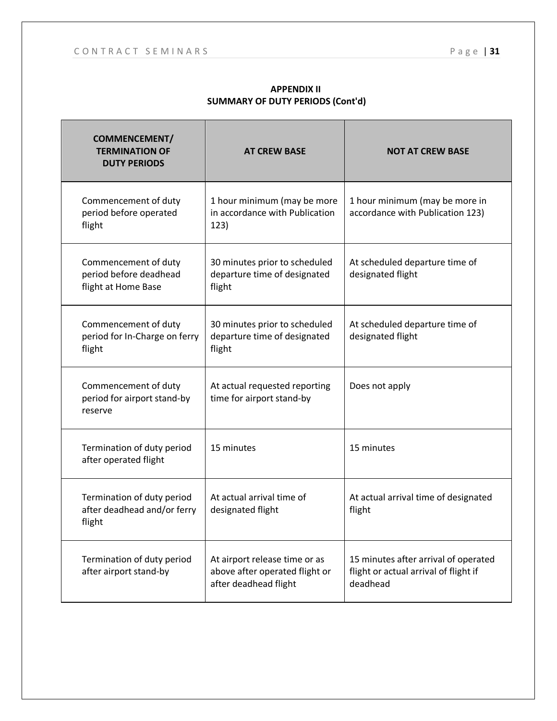| <b>COMMENCEMENT/</b><br><b>TERMINATION OF</b><br><b>DUTY PERIODS</b>  | <b>AT CREW BASE</b>                                                                      | <b>NOT AT CREW BASE</b>                                                                   |
|-----------------------------------------------------------------------|------------------------------------------------------------------------------------------|-------------------------------------------------------------------------------------------|
| Commencement of duty<br>period before operated<br>flight              | 1 hour minimum (may be more<br>in accordance with Publication<br>123)                    | 1 hour minimum (may be more in<br>accordance with Publication 123)                        |
| Commencement of duty<br>period before deadhead<br>flight at Home Base | 30 minutes prior to scheduled<br>departure time of designated<br>flight                  | At scheduled departure time of<br>designated flight                                       |
| Commencement of duty<br>period for In-Charge on ferry<br>flight       | 30 minutes prior to scheduled<br>departure time of designated<br>flight                  | At scheduled departure time of<br>designated flight                                       |
| Commencement of duty<br>period for airport stand-by<br>reserve        | At actual requested reporting<br>time for airport stand-by                               | Does not apply                                                                            |
| Termination of duty period<br>after operated flight                   | 15 minutes                                                                               | 15 minutes                                                                                |
| Termination of duty period<br>after deadhead and/or ferry<br>flight   | At actual arrival time of<br>designated flight                                           | At actual arrival time of designated<br>flight                                            |
| Termination of duty period<br>after airport stand-by                  | At airport release time or as<br>above after operated flight or<br>after deadhead flight | 15 minutes after arrival of operated<br>flight or actual arrival of flight if<br>deadhead |

#### **APPENDIX II SUMMARY OF DUTY PERIODS (Cont'd)**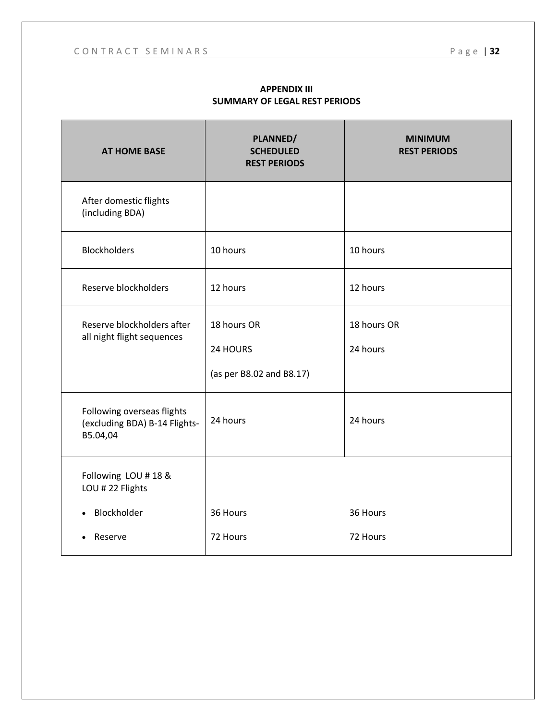| <b>AT HOME BASE</b>                                                     | PLANNED/<br><b>SCHEDULED</b><br><b>REST PERIODS</b> | <b>MINIMUM</b><br><b>REST PERIODS</b> |
|-------------------------------------------------------------------------|-----------------------------------------------------|---------------------------------------|
| After domestic flights<br>(including BDA)                               |                                                     |                                       |
| <b>Blockholders</b>                                                     | 10 hours                                            | 10 hours                              |
| Reserve blockholders                                                    | 12 hours                                            | 12 hours                              |
| Reserve blockholders after<br>all night flight sequences                | 18 hours OR<br>24 HOURS<br>(as per B8.02 and B8.17) | 18 hours OR<br>24 hours               |
| Following overseas flights<br>(excluding BDA) B-14 Flights-<br>B5.04,04 | 24 hours                                            | 24 hours                              |
| Following LOU #18 &<br>LOU # 22 Flights                                 |                                                     |                                       |
| Blockholder                                                             | 36 Hours                                            | 36 Hours                              |
| Reserve                                                                 | 72 Hours                                            | 72 Hours                              |

#### **APPENDIX III SUMMARY OF LEGAL REST PERIODS**